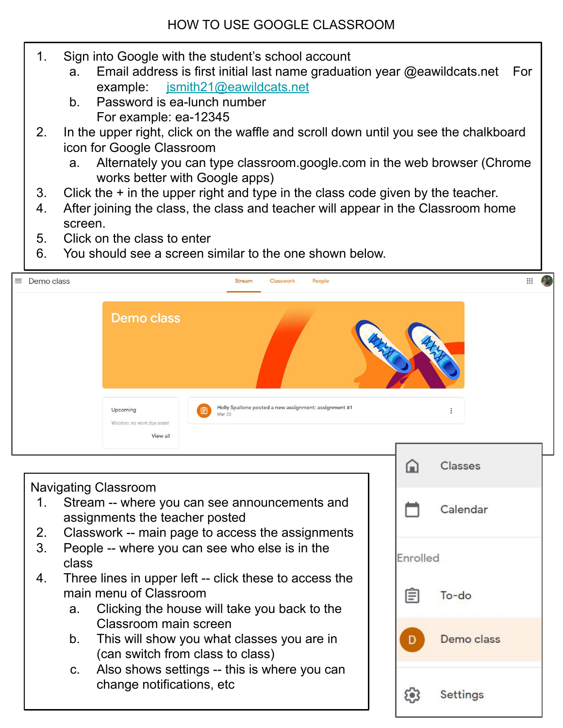- 1. Sign into Google with the student's school account
	- a. Email address is first initial last name graduation year @eawildcats.net For example: [jsmith21@eawildcats.net](mailto:jsmith21@eawildcats.net)
	- b. Password is ea-lunch number For example: ea-12345
- 2. In the upper right, click on the waffle and scroll down until you see the chalkboard icon for Google Classroom
	- a. Alternately you can type classroom.google.com in the web browser (Chrome works better with Google apps)
- 3. Click the + in the upper right and type in the class code given by the teacher.
- 4. After joining the class, the class and teacher will appear in the Classroom home screen.
- 5. Click on the class to enter
- 6. You should see a screen similar to the one shown below.

| Demo class<br>$\equiv$                                                                                                                                                         |                                                                                                                                        |                                                   | <b>Stream</b>                                                        | Classwork | People |  |          |         | $\mathbf{ii}$ |
|--------------------------------------------------------------------------------------------------------------------------------------------------------------------------------|----------------------------------------------------------------------------------------------------------------------------------------|---------------------------------------------------|----------------------------------------------------------------------|-----------|--------|--|----------|---------|---------------|
|                                                                                                                                                                                |                                                                                                                                        | <b>Demo class</b>                                 |                                                                      |           |        |  |          |         |               |
|                                                                                                                                                                                |                                                                                                                                        | Upcoming<br>Woohoo, no work due soon!<br>View all | Holly Spallone posted a new assignment: assignment #1<br>囼<br>Mar 20 |           |        |  |          |         |               |
|                                                                                                                                                                                |                                                                                                                                        |                                                   |                                                                      |           |        |  | ſш       | Classes |               |
| <b>Navigating Classroom</b><br>Stream -- where you can see announcements and<br>1.<br>assignments the teacher posted<br>2.<br>Classwork -- main page to access the assignments |                                                                                                                                        |                                                   |                                                                      |           |        |  | Calendar |         |               |
| 3.                                                                                                                                                                             | class                                                                                                                                  | People -- where you can see who else is in the    |                                                                      |           |        |  | Enrolled |         |               |
| 4.                                                                                                                                                                             | Three lines in upper left -- click these to access the<br>main menu of Classroom<br>Clicking the house will take you back to the<br>a. |                                                   |                                                                      |           |        |  |          | To-do   |               |

Demo class

Settings

<u>ومع</u>

- Classroom main screen
- b. This will show you what classes you are in (can switch from class to class)
- c. Also shows settings -- this is where you can change notifications, etc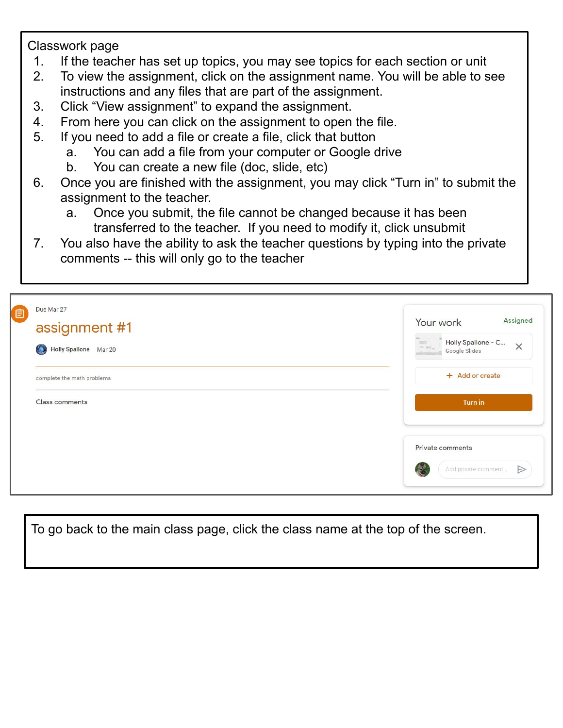Classwork page

- 1. If the teacher has set up topics, you may see topics for each section or unit
- 2. To view the assignment, click on the assignment name. You will be able to see instructions and any files that are part of the assignment.
- 3. Click "View assignment" to expand the assignment.
- 4. From here you can click on the assignment to open the file.
- 5. If you need to add a file or create a file, click that button
	- a. You can add a file from your computer or Google drive
	- b. You can create a new file (doc, slide, etc)
- 6. Once you are finished with the assignment, you may click "Turn in" to submit the assignment to the teacher.
	- a. Once you submit, the file cannot be changed because it has been transferred to the teacher. If you need to modify it, click unsubmit
- 7. You also have the ability to ask the teacher questions by typing into the private comments -- this will only go to the teacher

| 自 | Due Mar 27<br>assignment #1<br>Holly Spallone Mar 20<br>$\odot$ | Assigned<br>Your work<br>Holly Spallone - C<br>$\times$<br>Google Slides     |  |  |
|---|-----------------------------------------------------------------|------------------------------------------------------------------------------|--|--|
|   | complete the math problems                                      | + Add or create                                                              |  |  |
|   | <b>Class comments</b>                                           | Turn in                                                                      |  |  |
|   |                                                                 | Private comments<br>$\triangleright$<br>Add private comment<br>$\mathcal{A}$ |  |  |

To go back to the main class page, click the class name at the top of the screen.